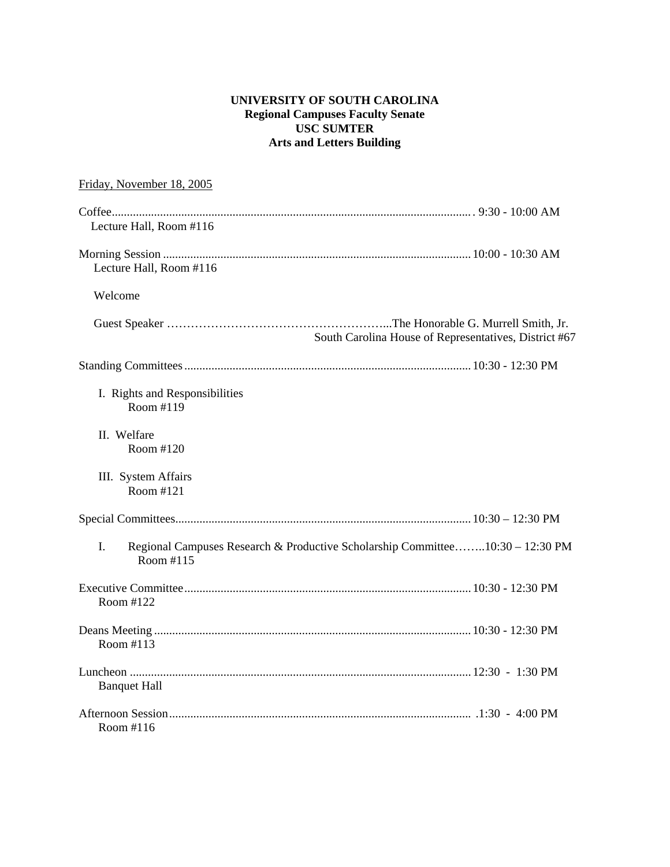# **UNIVERSITY OF SOUTH CAROLINA Regional Campuses Faculty Senate USC SUMTER Arts and Letters Building**

# Friday, November 18, 2005

| Lecture Hall, Room #116                     |                                                                               |
|---------------------------------------------|-------------------------------------------------------------------------------|
| Lecture Hall, Room #116                     |                                                                               |
| Welcome                                     |                                                                               |
|                                             | South Carolina House of Representatives, District #67                         |
|                                             |                                                                               |
| I. Rights and Responsibilities<br>Room #119 |                                                                               |
| II. Welfare<br>Room #120                    |                                                                               |
| III. System Affairs<br>Room #121            |                                                                               |
|                                             |                                                                               |
| I.<br>Room #115                             | Regional Campuses Research & Productive Scholarship Committee10:30 - 12:30 PM |
| Room #122                                   |                                                                               |
| Room #113                                   |                                                                               |
| <b>Banquet Hall</b>                         |                                                                               |
| Room $#116$                                 |                                                                               |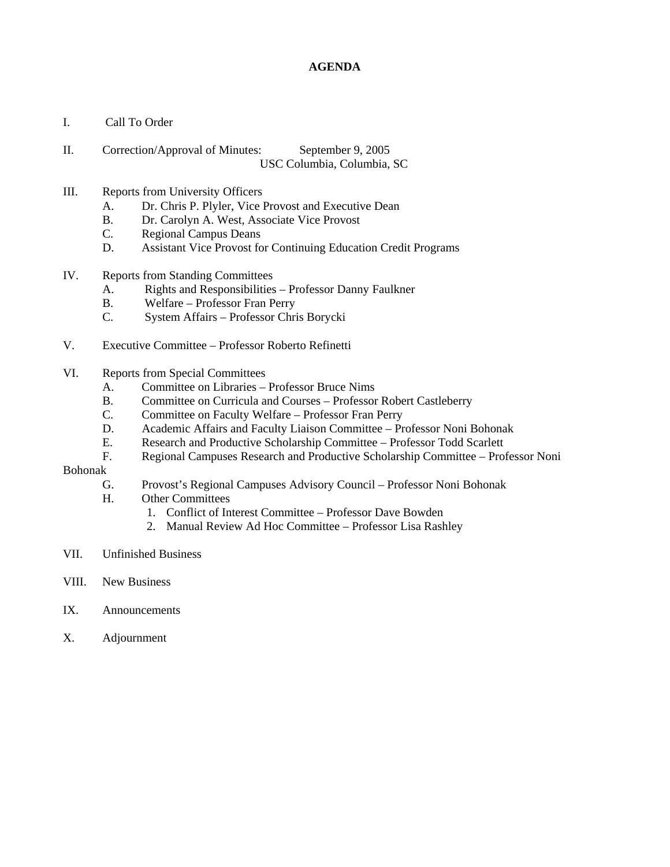## **AGENDA**

- I. Call To Order
- II. Correction/Approval of Minutes: September 9, 2005 USC Columbia, Columbia, SC

### III. Reports from University Officers

- A. Dr. Chris P. Plyler, Vice Provost and Executive Dean
- B. Dr. Carolyn A. West, Associate Vice Provost
- C. Regional Campus Deans
- D. Assistant Vice Provost for Continuing Education Credit Programs
- IV. Reports from Standing Committees
	- A. Rights and Responsibilities Professor Danny Faulkner
	- B. Welfare Professor Fran Perry
	- C. System Affairs Professor Chris Borycki
- V. Executive Committee Professor Roberto Refinetti
- VI. Reports from Special Committees
	- A. Committee on Libraries Professor Bruce Nims
	- B. Committee on Curricula and Courses Professor Robert Castleberry
	- C. Committee on Faculty Welfare Professor Fran Perry
	- D. Academic Affairs and Faculty Liaison Committee Professor Noni Bohonak
	- E. Research and Productive Scholarship Committee Professor Todd Scarlett
- F. Regional Campuses Research and Productive Scholarship Committee Professor Noni Bohonak
- - G. Provost's Regional Campuses Advisory Council Professor Noni Bohonak
	- H. Other Committees
		- 1. Conflict of Interest Committee Professor Dave Bowden
		- 2. Manual Review Ad Hoc Committee Professor Lisa Rashley
- VII. Unfinished Business
- VIII. New Business
- IX. Announcements
- X. Adjournment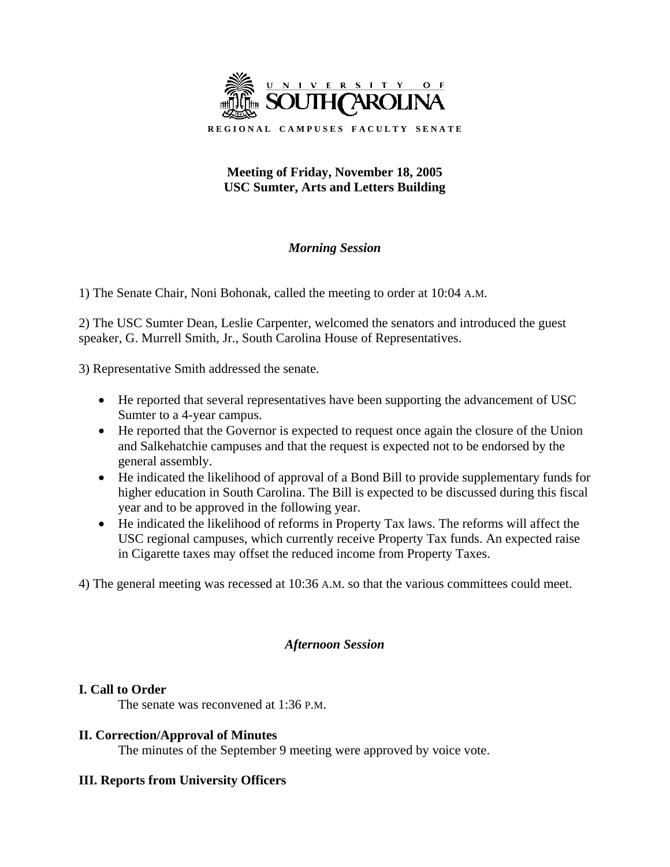

# **Meeting of Friday, November 18, 2005 USC Sumter, Arts and Letters Building**

# *Morning Session*

1) The Senate Chair, Noni Bohonak, called the meeting to order at 10:04 A.M.

2) The USC Sumter Dean, Leslie Carpenter, welcomed the senators and introduced the guest speaker, G. Murrell Smith, Jr., South Carolina House of Representatives.

3) Representative Smith addressed the senate.

- He reported that several representatives have been supporting the advancement of USC Sumter to a 4-year campus.
- He reported that the Governor is expected to request once again the closure of the Union and Salkehatchie campuses and that the request is expected not to be endorsed by the general assembly.
- He indicated the likelihood of approval of a Bond Bill to provide supplementary funds for higher education in South Carolina. The Bill is expected to be discussed during this fiscal year and to be approved in the following year.
- He indicated the likelihood of reforms in Property Tax laws. The reforms will affect the USC regional campuses, which currently receive Property Tax funds. An expected raise in Cigarette taxes may offset the reduced income from Property Taxes.

4) The general meeting was recessed at 10:36 A.M. so that the various committees could meet.

# *Afternoon Session*

# **I. Call to Order**

The senate was reconvened at 1:36 P.M.

# **II. Correction/Approval of Minutes**

The minutes of the September 9 meeting were approved by voice vote.

# **III. Reports from University Officers**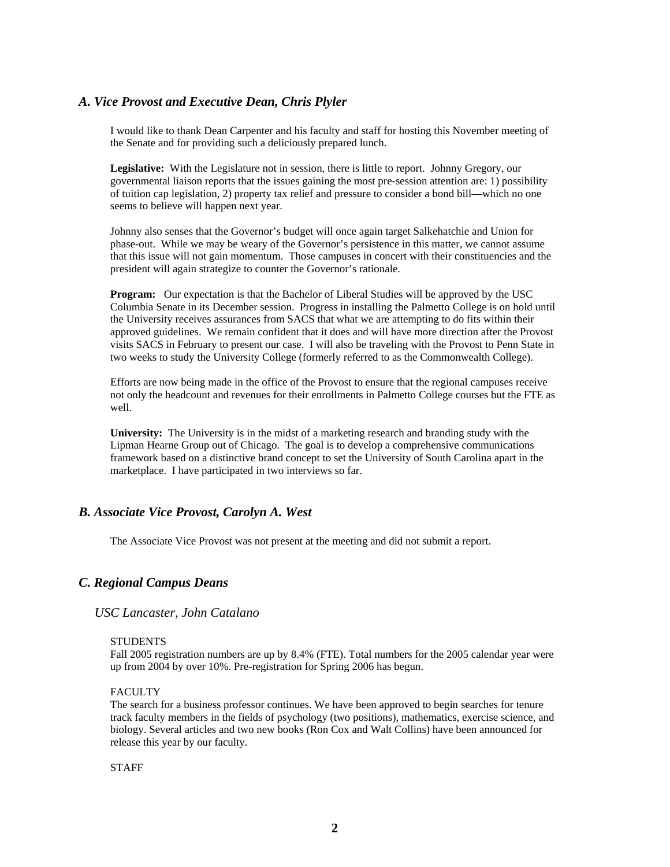## *A. Vice Provost and Executive Dean, Chris Plyler*

I would like to thank Dean Carpenter and his faculty and staff for hosting this November meeting of the Senate and for providing such a deliciously prepared lunch.

Legislative: With the Legislature not in session, there is little to report. Johnny Gregory, our governmental liaison reports that the issues gaining the most pre-session attention are: 1) possibility of tuition cap legislation, 2) property tax relief and pressure to consider a bond bill—which no one seems to believe will happen next year.

Johnny also senses that the Governor's budget will once again target Salkehatchie and Union for phase-out. While we may be weary of the Governor's persistence in this matter, we cannot assume that this issue will not gain momentum. Those campuses in concert with their constituencies and the president will again strategize to counter the Governor's rationale.

**Program:** Our expectation is that the Bachelor of Liberal Studies will be approved by the USC Columbia Senate in its December session.Progress in installing the Palmetto College is on hold until the University receives assurances from SACS that what we are attempting to do fits within their approved guidelines. We remain confident that it does and will have more direction after the Provost visits SACS in February to present our case. I will also be traveling with the Provost to Penn State in two weeks to study the University College (formerly referred to as the Commonwealth College).

Efforts are now being made in the office of the Provost to ensure that the regional campuses receive not only the headcount and revenues for their enrollments in Palmetto College courses but the FTE as well.

**University:** The University is in the midst of a marketing research and branding study with the Lipman Hearne Group out of Chicago. The goal is to develop a comprehensive communications framework based on a distinctive brand concept to set the University of South Carolina apart in the marketplace. I have participated in two interviews so far.

## *B. Associate Vice Provost, Carolyn A. West*

The Associate Vice Provost was not present at the meeting and did not submit a report.

#### *C. Regional Campus Deans*

*USC Lancaster, John Catalano* 

#### **STUDENTS**

Fall 2005 registration numbers are up by 8.4% (FTE). Total numbers for the 2005 calendar year were up from 2004 by over 10%. Pre-registration for Spring 2006 has begun.

#### FACULTY

The search for a business professor continues. We have been approved to begin searches for tenure track faculty members in the fields of psychology (two positions), mathematics, exercise science, and biology. Several articles and two new books (Ron Cox and Walt Collins) have been announced for release this year by our faculty.

**STAFF**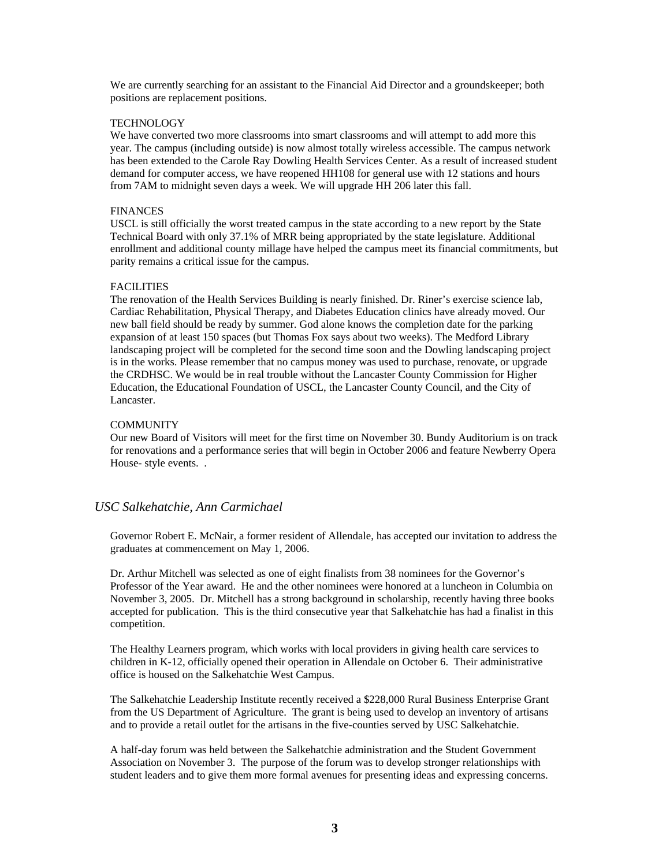We are currently searching for an assistant to the Financial Aid Director and a groundskeeper; both positions are replacement positions.

#### TECHNOLOGY

We have converted two more classrooms into smart classrooms and will attempt to add more this year. The campus (including outside) is now almost totally wireless accessible. The campus network has been extended to the Carole Ray Dowling Health Services Center. As a result of increased student demand for computer access, we have reopened HH108 for general use with 12 stations and hours from 7AM to midnight seven days a week. We will upgrade HH 206 later this fall.

#### FINANCES

USCL is still officially the worst treated campus in the state according to a new report by the State Technical Board with only 37.1% of MRR being appropriated by the state legislature. Additional enrollment and additional county millage have helped the campus meet its financial commitments, but parity remains a critical issue for the campus.

#### FACILITIES

The renovation of the Health Services Building is nearly finished. Dr. Riner's exercise science lab, Cardiac Rehabilitation, Physical Therapy, and Diabetes Education clinics have already moved. Our new ball field should be ready by summer. God alone knows the completion date for the parking expansion of at least 150 spaces (but Thomas Fox says about two weeks). The Medford Library landscaping project will be completed for the second time soon and the Dowling landscaping project is in the works. Please remember that no campus money was used to purchase, renovate, or upgrade the CRDHSC. We would be in real trouble without the Lancaster County Commission for Higher Education, the Educational Foundation of USCL, the Lancaster County Council, and the City of Lancaster.

#### **COMMUNITY**

Our new Board of Visitors will meet for the first time on November 30. Bundy Auditorium is on track for renovations and a performance series that will begin in October 2006 and feature Newberry Opera House- style events. .

### *USC Salkehatchie, Ann Carmichael*

Governor Robert E. McNair, a former resident of Allendale, has accepted our invitation to address the graduates at commencement on May 1, 2006.

Dr. Arthur Mitchell was selected as one of eight finalists from 38 nominees for the Governor's Professor of the Year award. He and the other nominees were honored at a luncheon in Columbia on November 3, 2005. Dr. Mitchell has a strong background in scholarship, recently having three books accepted for publication. This is the third consecutive year that Salkehatchie has had a finalist in this competition.

The Healthy Learners program, which works with local providers in giving health care services to children in K-12, officially opened their operation in Allendale on October 6. Their administrative office is housed on the Salkehatchie West Campus.

The Salkehatchie Leadership Institute recently received a \$228,000 Rural Business Enterprise Grant from the US Department of Agriculture. The grant is being used to develop an inventory of artisans and to provide a retail outlet for the artisans in the five-counties served by USC Salkehatchie.

A half-day forum was held between the Salkehatchie administration and the Student Government Association on November 3. The purpose of the forum was to develop stronger relationships with student leaders and to give them more formal avenues for presenting ideas and expressing concerns.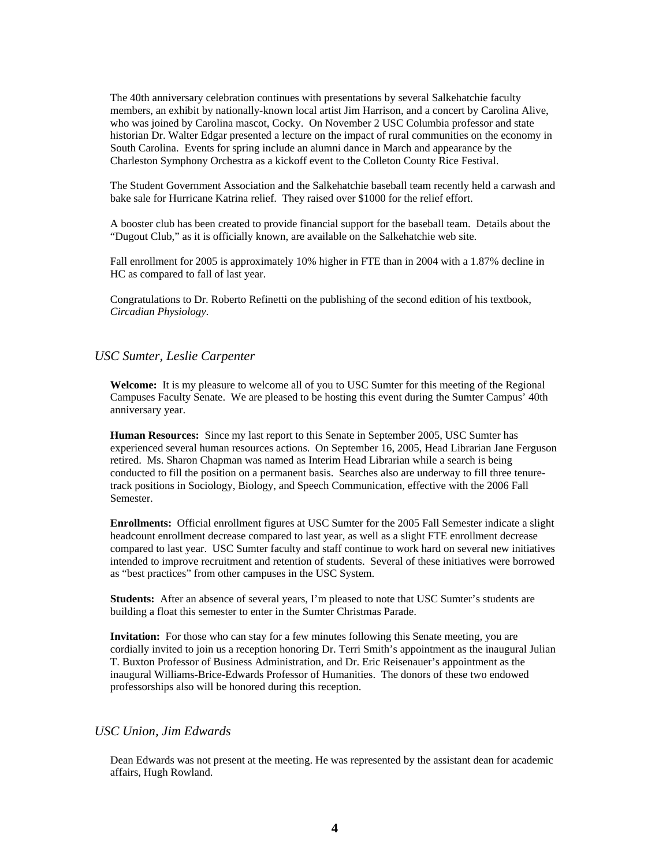The 40th anniversary celebration continues with presentations by several Salkehatchie faculty members, an exhibit by nationally-known local artist Jim Harrison, and a concert by Carolina Alive, who was joined by Carolina mascot, Cocky. On November 2 USC Columbia professor and state historian Dr. Walter Edgar presented a lecture on the impact of rural communities on the economy in South Carolina. Events for spring include an alumni dance in March and appearance by the Charleston Symphony Orchestra as a kickoff event to the Colleton County Rice Festival.

The Student Government Association and the Salkehatchie baseball team recently held a carwash and bake sale for Hurricane Katrina relief. They raised over \$1000 for the relief effort.

A booster club has been created to provide financial support for the baseball team. Details about the "Dugout Club," as it is officially known, are available on the Salkehatchie web site.

Fall enrollment for 2005 is approximately 10% higher in FTE than in 2004 with a 1.87% decline in HC as compared to fall of last year.

Congratulations to Dr. Roberto Refinetti on the publishing of the second edition of his textbook, *Circadian Physiology*.

#### *USC Sumter, Leslie Carpenter*

**Welcome:** It is my pleasure to welcome all of you to USC Sumter for this meeting of the Regional Campuses Faculty Senate. We are pleased to be hosting this event during the Sumter Campus' 40th anniversary year.

**Human Resources:** Since my last report to this Senate in September 2005, USC Sumter has experienced several human resources actions. On September 16, 2005, Head Librarian Jane Ferguson retired. Ms. Sharon Chapman was named as Interim Head Librarian while a search is being conducted to fill the position on a permanent basis. Searches also are underway to fill three tenuretrack positions in Sociology, Biology, and Speech Communication, effective with the 2006 Fall Semester.

**Enrollments:** Official enrollment figures at USC Sumter for the 2005 Fall Semester indicate a slight headcount enrollment decrease compared to last year, as well as a slight FTE enrollment decrease compared to last year. USC Sumter faculty and staff continue to work hard on several new initiatives intended to improve recruitment and retention of students. Several of these initiatives were borrowed as "best practices" from other campuses in the USC System.

**Students:** After an absence of several years, I'm pleased to note that USC Sumter's students are building a float this semester to enter in the Sumter Christmas Parade.

**Invitation:** For those who can stay for a few minutes following this Senate meeting, you are cordially invited to join us a reception honoring Dr. Terri Smith's appointment as the inaugural Julian T. Buxton Professor of Business Administration, and Dr. Eric Reisenauer's appointment as the inaugural Williams-Brice-Edwards Professor of Humanities. The donors of these two endowed professorships also will be honored during this reception.

#### *USC Union, Jim Edwards*

Dean Edwards was not present at the meeting. He was represented by the assistant dean for academic affairs, Hugh Rowland.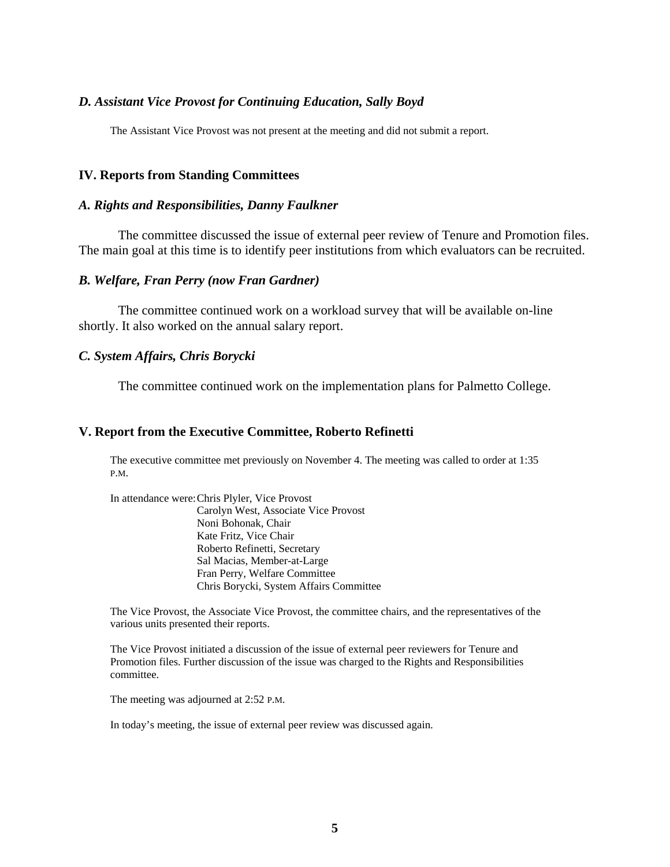## *D. Assistant Vice Provost for Continuing Education, Sally Boyd*

The Assistant Vice Provost was not present at the meeting and did not submit a report.

### **IV. Reports from Standing Committees**

### *A. Rights and Responsibilities, Danny Faulkner*

The committee discussed the issue of external peer review of Tenure and Promotion files. The main goal at this time is to identify peer institutions from which evaluators can be recruited.

#### *B. Welfare, Fran Perry (now Fran Gardner)*

The committee continued work on a workload survey that will be available on-line shortly. It also worked on the annual salary report.

## *C. System Affairs, Chris Borycki*

The committee continued work on the implementation plans for Palmetto College.

### **V. Report from the Executive Committee, Roberto Refinetti**

The executive committee met previously on November 4. The meeting was called to order at 1:35 P.M.

In attendance were: Chris Plyler, Vice Provost Carolyn West, Associate Vice Provost Noni Bohonak, Chair Kate Fritz, Vice Chair Roberto Refinetti, Secretary Sal Macias, Member-at-Large Fran Perry, Welfare Committee Chris Borycki, System Affairs Committee

The Vice Provost, the Associate Vice Provost, the committee chairs, and the representatives of the various units presented their reports.

The Vice Provost initiated a discussion of the issue of external peer reviewers for Tenure and Promotion files. Further discussion of the issue was charged to the Rights and Responsibilities committee.

The meeting was adjourned at 2:52 P.M.

In today's meeting, the issue of external peer review was discussed again.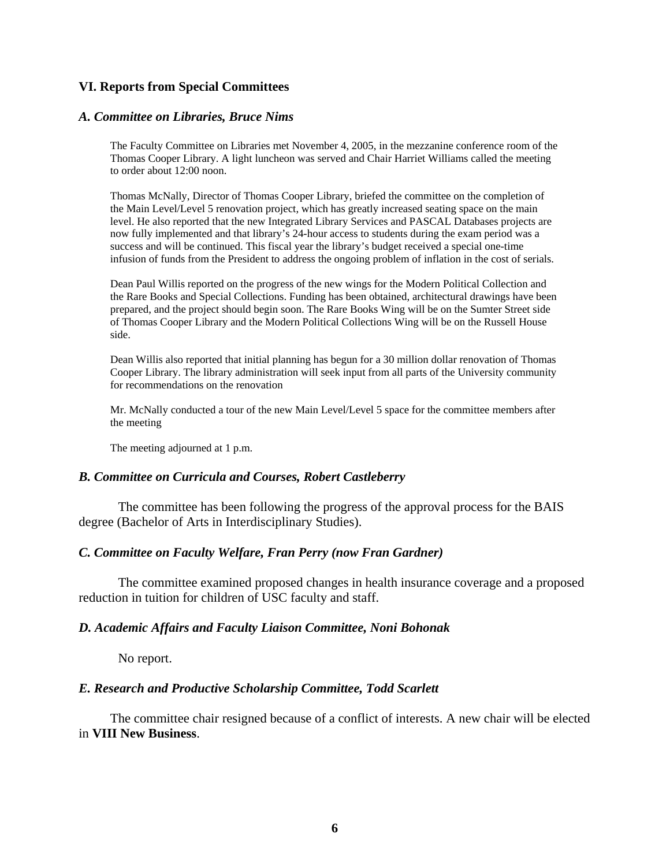## **VI. Reports from Special Committees**

### *A. Committee on Libraries, Bruce Nims*

The Faculty Committee on Libraries met November 4, 2005, in the mezzanine conference room of the Thomas Cooper Library. A light luncheon was served and Chair Harriet Williams called the meeting to order about 12:00 noon.

Thomas McNally, Director of Thomas Cooper Library, briefed the committee on the completion of the Main Level/Level 5 renovation project, which has greatly increased seating space on the main level. He also reported that the new Integrated Library Services and PASCAL Databases projects are now fully implemented and that library's 24-hour access to students during the exam period was a success and will be continued. This fiscal year the library's budget received a special one-time infusion of funds from the President to address the ongoing problem of inflation in the cost of serials.

Dean Paul Willis reported on the progress of the new wings for the Modern Political Collection and the Rare Books and Special Collections. Funding has been obtained, architectural drawings have been prepared, and the project should begin soon. The Rare Books Wing will be on the Sumter Street side of Thomas Cooper Library and the Modern Political Collections Wing will be on the Russell House side.

Dean Willis also reported that initial planning has begun for a 30 million dollar renovation of Thomas Cooper Library. The library administration will seek input from all parts of the University community for recommendations on the renovation

Mr. McNally conducted a tour of the new Main Level/Level 5 space for the committee members after the meeting

The meeting adjourned at 1 p.m.

### *B. Committee on Curricula and Courses, Robert Castleberry*

The committee has been following the progress of the approval process for the BAIS degree (Bachelor of Arts in Interdisciplinary Studies).

#### *C. Committee on Faculty Welfare, Fran Perry (now Fran Gardner)*

The committee examined proposed changes in health insurance coverage and a proposed reduction in tuition for children of USC faculty and staff.

### *D. Academic Affairs and Faculty Liaison Committee, Noni Bohonak*

No report.

### *E. Research and Productive Scholarship Committee, Todd Scarlett*

The committee chair resigned because of a conflict of interests. A new chair will be elected in **VIII New Business**.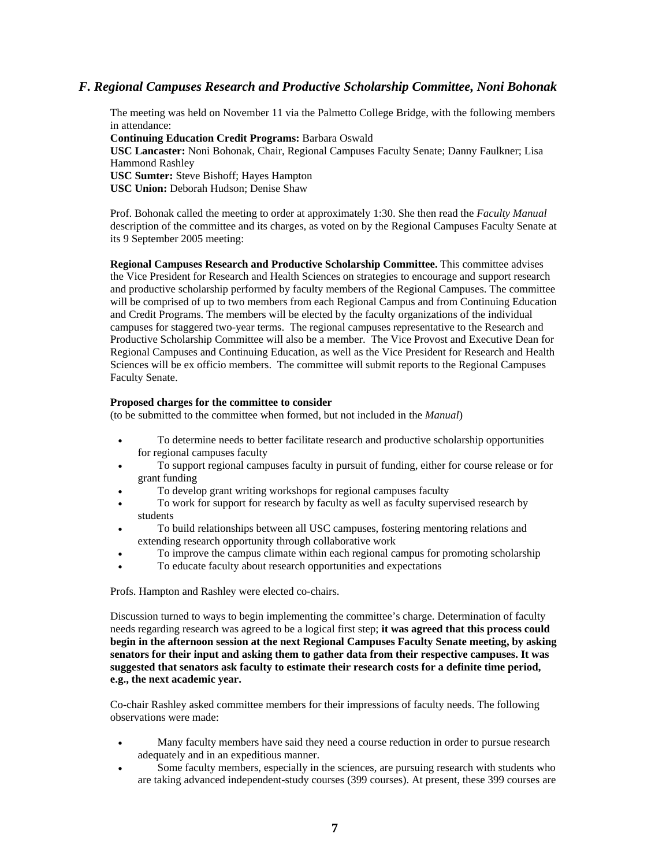### *F. Regional Campuses Research and Productive Scholarship Committee, Noni Bohonak*

The meeting was held on November 11 via the Palmetto College Bridge, with the following members in attendance:

**Continuing Education Credit Programs:** Barbara Oswald

**USC Lancaster:** Noni Bohonak, Chair, Regional Campuses Faculty Senate; Danny Faulkner; Lisa Hammond Rashley **USC Sumter:** Steve Bishoff; Hayes Hampton

**USC Union:** Deborah Hudson; Denise Shaw

Prof. Bohonak called the meeting to order at approximately 1:30. She then read the *Faculty Manual* description of the committee and its charges, as voted on by the Regional Campuses Faculty Senate at its 9 September 2005 meeting:

**Regional Campuses Research and Productive Scholarship Committee.** This committee advises the Vice President for Research and Health Sciences on strategies to encourage and support research and productive scholarship performed by faculty members of the Regional Campuses. The committee will be comprised of up to two members from each Regional Campus and from Continuing Education and Credit Programs. The members will be elected by the faculty organizations of the individual campuses for staggered two-year terms. The regional campuses representative to the Research and Productive Scholarship Committee will also be a member. The Vice Provost and Executive Dean for Regional Campuses and Continuing Education, as well as the Vice President for Research and Health Sciences will be ex officio members. The committee will submit reports to the Regional Campuses Faculty Senate.

#### **Proposed charges for the committee to consider**

(to be submitted to the committee when formed, but not included in the *Manual*)

- To determine needs to better facilitate research and productive scholarship opportunities for regional campuses faculty
- To support regional campuses faculty in pursuit of funding, either for course release or for grant funding
- To develop grant writing workshops for regional campuses faculty
- To work for support for research by faculty as well as faculty supervised research by students
- To build relationships between all USC campuses, fostering mentoring relations and extending research opportunity through collaborative work
- To improve the campus climate within each regional campus for promoting scholarship
- To educate faculty about research opportunities and expectations

Profs. Hampton and Rashley were elected co-chairs.

Discussion turned to ways to begin implementing the committee's charge. Determination of faculty needs regarding research was agreed to be a logical first step; **it was agreed that this process could begin in the afternoon session at the next Regional Campuses Faculty Senate meeting, by asking senators for their input and asking them to gather data from their respective campuses. It was suggested that senators ask faculty to estimate their research costs for a definite time period, e.g., the next academic year.**

Co-chair Rashley asked committee members for their impressions of faculty needs. The following observations were made:

- Many faculty members have said they need a course reduction in order to pursue research adequately and in an expeditious manner.
- Some faculty members, especially in the sciences, are pursuing research with students who are taking advanced independent-study courses (399 courses). At present, these 399 courses are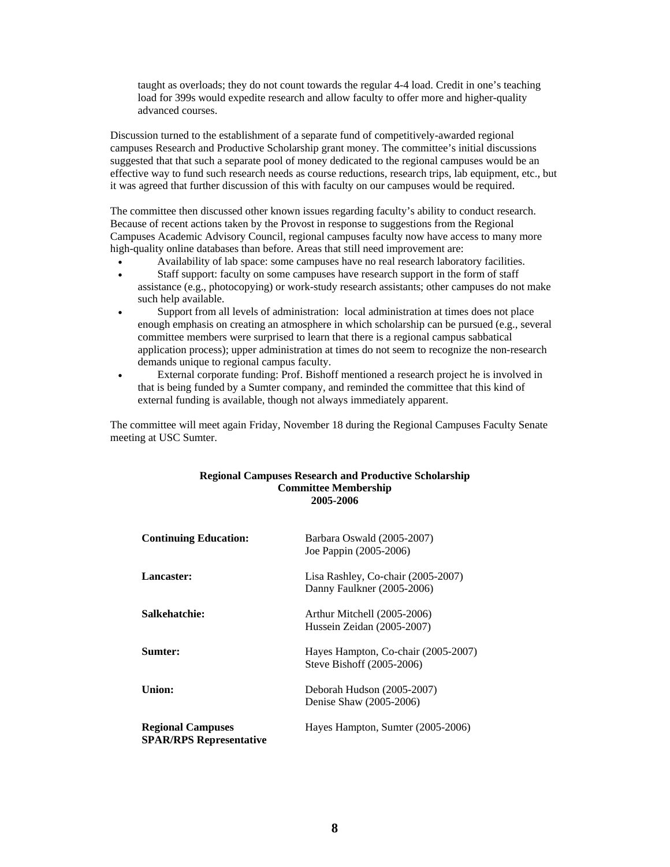taught as overloads; they do not count towards the regular 4-4 load. Credit in one's teaching load for 399s would expedite research and allow faculty to offer more and higher-quality advanced courses.

Discussion turned to the establishment of a separate fund of competitively-awarded regional campuses Research and Productive Scholarship grant money. The committee's initial discussions suggested that that such a separate pool of money dedicated to the regional campuses would be an effective way to fund such research needs as course reductions, research trips, lab equipment, etc., but it was agreed that further discussion of this with faculty on our campuses would be required.

The committee then discussed other known issues regarding faculty's ability to conduct research. Because of recent actions taken by the Provost in response to suggestions from the Regional Campuses Academic Advisory Council, regional campuses faculty now have access to many more high-quality online databases than before. Areas that still need improvement are:

- Availability of lab space: some campuses have no real research laboratory facilities.
- Staff support: faculty on some campuses have research support in the form of staff assistance (e.g., photocopying) or work-study research assistants; other campuses do not make such help available.
- Support from all levels of administration: local administration at times does not place enough emphasis on creating an atmosphere in which scholarship can be pursued (e.g., several committee members were surprised to learn that there is a regional campus sabbatical application process); upper administration at times do not seem to recognize the non-research demands unique to regional campus faculty.
- External corporate funding: Prof. Bishoff mentioned a research project he is involved in that is being funded by a Sumter company, and reminded the committee that this kind of external funding is available, though not always immediately apparent.

The committee will meet again Friday, November 18 during the Regional Campuses Faculty Senate meeting at USC Sumter.

#### **Regional Campuses Research and Productive Scholarship Committee Membership 2005-2006**

| <b>Continuing Education:</b>                               | Barbara Oswald (2005-2007)<br>Joe Pappin (2005-2006)             |
|------------------------------------------------------------|------------------------------------------------------------------|
| Lancaster:                                                 | Lisa Rashley, Co-chair (2005-2007)<br>Danny Faulkner (2005-2006) |
| Salkehatchie:                                              | Arthur Mitchell (2005-2006)<br>Hussein Zeidan (2005-2007)        |
| Sumter:                                                    | Hayes Hampton, Co-chair (2005-2007)<br>Steve Bishoff (2005-2006) |
| Union:                                                     | Deborah Hudson (2005-2007)<br>Denise Shaw (2005-2006)            |
| <b>Regional Campuses</b><br><b>SPAR/RPS Representative</b> | Hayes Hampton, Sumter (2005-2006)                                |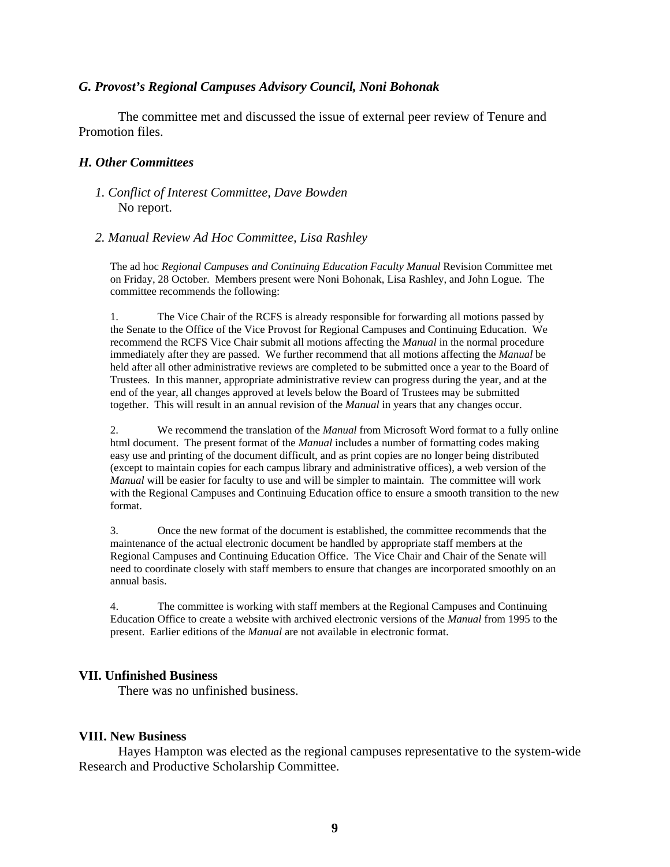## *G. Provost's Regional Campuses Advisory Council, Noni Bohonak*

The committee met and discussed the issue of external peer review of Tenure and Promotion files.

## *H. Other Committees*

- *1. Conflict of Interest Committee, Dave Bowden*  No report.
- *2. Manual Review Ad Hoc Committee, Lisa Rashley*

The ad hoc *Regional Campuses and Continuing Education Faculty Manual* Revision Committee met on Friday, 28 October. Members present were Noni Bohonak, Lisa Rashley, and John Logue. The committee recommends the following:

1. The Vice Chair of the RCFS is already responsible for forwarding all motions passed by the Senate to the Office of the Vice Provost for Regional Campuses and Continuing Education. We recommend the RCFS Vice Chair submit all motions affecting the *Manual* in the normal procedure immediately after they are passed. We further recommend that all motions affecting the *Manual* be held after all other administrative reviews are completed to be submitted once a year to the Board of Trustees. In this manner, appropriate administrative review can progress during the year, and at the end of the year, all changes approved at levels below the Board of Trustees may be submitted together. This will result in an annual revision of the *Manual* in years that any changes occur.

2. We recommend the translation of the *Manual* from Microsoft Word format to a fully online html document. The present format of the *Manual* includes a number of formatting codes making easy use and printing of the document difficult, and as print copies are no longer being distributed (except to maintain copies for each campus library and administrative offices), a web version of the *Manual* will be easier for faculty to use and will be simpler to maintain. The committee will work with the Regional Campuses and Continuing Education office to ensure a smooth transition to the new format.

3. Once the new format of the document is established, the committee recommends that the maintenance of the actual electronic document be handled by appropriate staff members at the Regional Campuses and Continuing Education Office. The Vice Chair and Chair of the Senate will need to coordinate closely with staff members to ensure that changes are incorporated smoothly on an annual basis.

4. The committee is working with staff members at the Regional Campuses and Continuing Education Office to create a website with archived electronic versions of the *Manual* from 1995 to the present. Earlier editions of the *Manual* are not available in electronic format.

# **VII. Unfinished Business**

There was no unfinished business.

## **VIII. New Business**

Hayes Hampton was elected as the regional campuses representative to the system-wide Research and Productive Scholarship Committee.